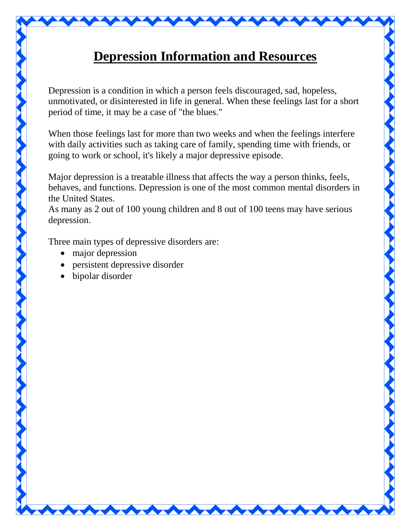

## **Depression Information and Resources**

Depression is a condition in which a person feels discouraged, sad, hopeless, unmotivated, or disinterested in life in general. When these feelings last for a short period of time, it may be a case of "the blues."

When those feelings last for more than two weeks and when the feelings interfere with daily activities such as taking care of family, spending time with friends, or going to work or school, it's likely a major depressive episode.

Major depression is a treatable illness that affects the way a person thinks, feels, behaves, and functions. Depression is one of the most common mental disorders in the United States.

As many as 2 out of 100 young children and 8 out of 100 teens may have serious depression.

Three main types of depressive disorders are:

- major depression
- persistent depressive disorder
- bipolar disorder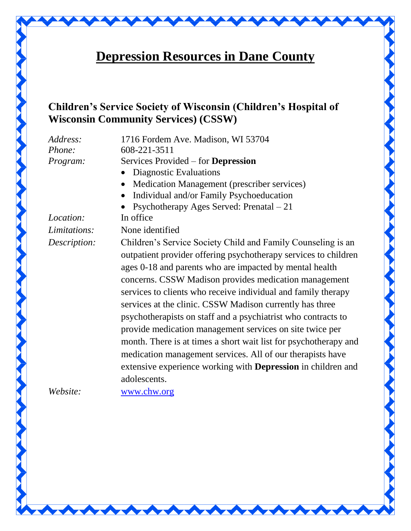

## **Children's Service Society of Wisconsin (Children's Hospital of Wisconsin Community Services) (CSSW)**

*Address:* 1716 Fordem Ave. Madison, WI 53704 *Phone:* 608-221-3511 *Program:* Services Provided – for **Depression**

- Diagnostic Evaluations
- Medication Management (prescriber services)
- Individual and/or Family Psychoeducation
- Psychotherapy Ages Served: Prenatal 21

*Location:* In office

*Limitations:* None identified

*Description:* Children's Service Society Child and Family Counseling is an outpatient provider offering psychotherapy services to children ages 0-18 and parents who are impacted by mental health concerns. CSSW Madison provides medication management services to clients who receive individual and family therapy services at the clinic. CSSW Madison currently has three psychotherapists on staff and a psychiatrist who contracts to provide medication management services on site twice per month. There is at times a short wait list for psychotherapy and medication management services. All of our therapists have extensive experience working with **Depression** in children and adolescents.

*Website:* [www.chw.org](http://www.chw.org/)